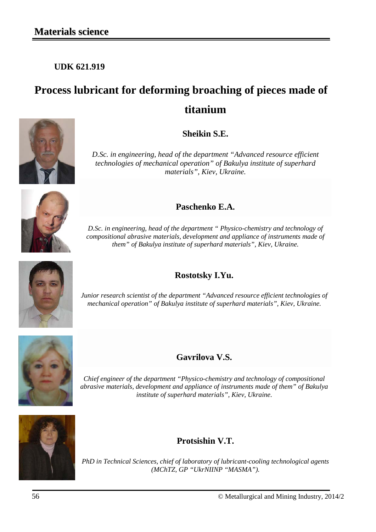**UDK 621.919**

# **Process lubricant for deforming broaching of pieces made of titanium**



*D.Sc. in engineering, head of the department "Advanced resource efficient technologies of mechanical operation" of Bakulya institute of superhard materials", Kiev, Ukraine.*



*D.Sc. in engineering, head of the department " Physico-chemistry and technology of compositional abrasive materials, development and appliance of instruments made of them" of Bakulya institute of superhard materials", Kiev, Ukraine.*

## **Rostotsky I.Yu.**

*Junior research scientist of the department "Advanced resource efficient technologies of mechanical operation" of Bakulya institute of superhard materials", Kiev, Ukraine.*



**Gavrilova V.S.**

*Chief engineer of the department "Physico-chemistry and technology of compositional abrasive materials, development and appliance of instruments made of them" of Bakulya institute of superhard materials", Kiev, Ukraine.*



**Protsishin V.T.**

*PhD in Technical Sciences, chief of laboratory of lubricant-cooling technological agents (MChTZ, GP "UkrNIINP "MASMA").*

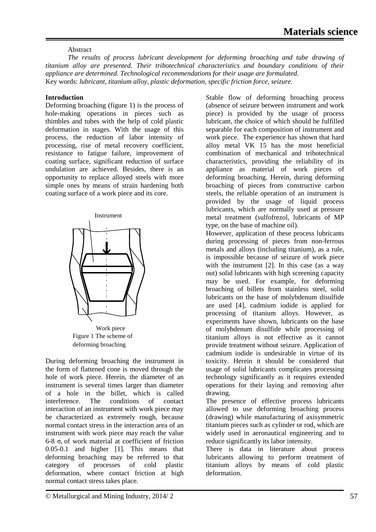## Abstract

*The results of process lubricant development for deforming broaching and tube drawing of titanium alloy are presented. Their tribotechnical characteristics and boundary conditions of their appliance are determined. Technological recommendations for their usage are formulated.*  Key words: *lubricant, titanium alloy, plastic deformation, specific friction force, seizure.*

## **Introduction**

Deforming broaching (figure 1) is the process of hole-making operations in pieces such as thimbles and tubes with the help of cold plastic deformation in stages. With the usage of this process, the reduction of labor intensity of processing, rise of metal recovery coefficient, resistance to fatigue failure, improvement of coating surface, significant reduction of surface undulation are achieved. Besides, there is an opportunity to replace alloyed steels with more simple ones by means of strain hardening both coating surface of a work piece and its core.





Figure 1 The scheme of deforming broaching

During deforming broaching the instrument in the form of flattened cone is moved through the hole of work piece. Herein, the diameter of an instrument is several times larger than diameter of a hole in the billet, which is called interference. The conditions of contact interaction of an instrument with work piece may be characterized as extremely rough, because normal contact stress in the interaction area of an instrument with work piece may reach the value 6-8  $\sigma_t$  of work material at coefficient of friction 0.05-0.1 and higher [1]. This means that deforming broaching may be referred to that category of processes of cold plastic deformation, where contact friction at high normal contact stress takes place.

Stable flow of deforming broaching process (absence of seizure between instrument and work piece) is provided by the usage of process lubricant, the choice of which should be fulfilled separable for each composition of instrument and work piece. The experience has shown that hard alloy metal VK 15 has the most beneficial combination of mechanical and tribotechnical characteristics, providing the reliability of its appliance as material of work pieces of deforming broaching. Herein, during deforming broaching of pieces from constructive carbon steels, the reliable operation of an instrument is provided by the usage of liquid process lubricants, which are normally used at pressure metal treatment (sulfofrezol, lubricants of MP type, on the base of machine oil).

However, application of these process lubricants during processing of pieces from non-ferrous metals and alloys (including titanium), as a rule, is impossible because of seizure of work piece with the instrument [2]. In this case (as a way out) solid lubricants with high screening capacity may be used. For example, for deforming broaching of billets from stainless steel, solid lubricants on the base of molybdenum disulfide are used [4], cadmium iodide is applied for processing of titanium alloys. However, as experiments have shown, lubricants on the base of molybdenum disulfide while processing of titanium alloys is not effective as it cannot provide treatment without seizure. Application of cadmium iodide is undesirable in virtue of its toxicity. Herein it should be considered that usage of solid lubricants complicates processing technology significantly as it requires extended operations for their laying and removing after drawing.

The presence of effective process lubricants allowed to use deforming broaching process (drawing) while manufacturing of axisymmetric titanium pieces such as cylinder or rod, which are widely used in aeronautical engineering and to reduce significantly its labor intensity.

There is data in literature about process lubricants allowing to perform treatment of titanium alloys by means of cold plastic deformation.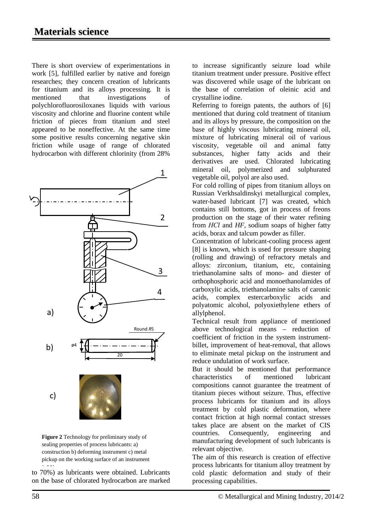There is short overview of experimentations in work [5], fulfilled earlier by native and foreign researches; they concern creation of lubricants for titanium and its alloys processing. It is mentioned that investigations of polychlorofluorosiloxanes liquids with various viscosity and chlorine and fluorine content while friction of pieces from titanium and steel appeared to be noneffective. At the same time some positive results concerning negative skin friction while usage of range of chlorated hydrocarbon with different chlorinity (from 28%



**Figure 2** Technology for preliminary study of sealing properties of process lubricants: a) construction b) deforming instrument c) metal pickup on the working surface of an instrument

to  $70\%$ ) as lubricants were obtained. Lubricants on the base of chlorated hydrocarbon are marked

to increase significantly seizure load while titanium treatment under pressure. Positive effect was discovered while usage of the lubricant on the base of correlation of oleinic acid and crystalline iodine.

Referring to foreign patents, the authors of [6] mentioned that during cold treatment of titanium and its alloys by pressure, the composition on the base of highly viscous lubricating mineral oil, mixture of lubricating mineral oil of various viscosity, vegetable oil and animal fatty substances, higher fatty acids and their derivatives are used. Chlorated lubricating mineral oil, polymerized and sulphurated vegetable oil, polyol are also used.

For cold rolling of pipes from titanium alloys on Russian Verkhsaldinskyi metallurgical complex, water-based lubricant [7] was created, which contains still bottoms, got in process of freons production on the stage of their water refining from *НСl* and *HF,* sodium soaps of higher fatty acids, borax and talcum powder as filler.

Concentration of lubricant-cooling process agent [8] is known, which is used for pressure shaping (rolling and drawing) of refractory metals and alloys: zirconium, titanium, etc, containing triethanolamine salts of mono- and diester of orthophosphoric acid and monoethanolamides of carboxylic acids, triethanolamine salts of caronic acids, complex estercarboxylic acids and polyatomic alcohol, polyoxiethylene ethers of allylphenol.

Technical result from appliance of mentioned above technological means – reduction of coefficient of friction in the system instrumentbillet, improvement of heat-removal, that allows to eliminate metal pickup on the instrument and reduce undulation of work surface.

But it should be mentioned that performance characteristics of mentioned lubricant compositions cannot guarantee the treatment of titanium pieces without seizure. Thus, effective process lubricants for titanium and its alloys treatment by cold plastic deformation, where contact friction at high normal contact stresses takes place are absent on the market of CIS countries. Consequently, engineering and manufacturing development of such lubricants is relevant objective.

The aim of this research is creation of effective process lubricants for titanium alloy treatment by cold plastic deformation and study of their processing capabilities.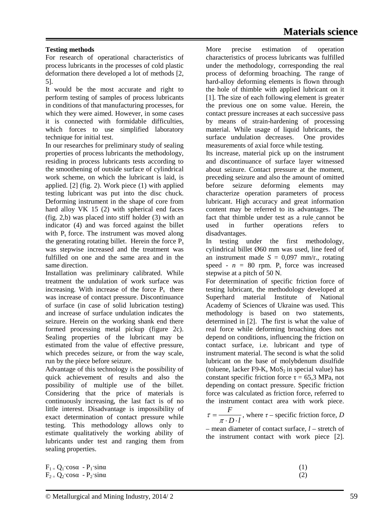## **Testing methods**

For research of operational characteristics of process lubricants in the processes of cold plastic deformation there developed a lot of methods [2, 5].

It would be the most accurate and right to perform testing of samples of process lubricants in conditions of that manufacturing processes, for which they were aimed. However, in some cases it is connected with formidable difficulties, which forces to use simplified laboratory technique for initial test.

In our researches for preliminary study of sealing properties of process lubricants the methodology, residing in process lubricants tests according to the smoothening of outside surface of cylindrical work scheme, on which the lubricant is laid, is applied. [2] (fig. 2). Work piece (1) with applied testing lubricant was put into the disc chuck. Deforming instrument in the shape of core from hard alloy VK 15 (2) with spherical end faces (fig. 2,b) was placed into stiff holder (3) with an indicator (4) and was forced against the billet with P<sub>s</sub> force. The instrument was moved along the generating rotating billet. Herein the force  $P_s$ was stepwise increased and the treatment was fulfilled on one and the same area and in the same direction.

Installation was preliminary calibrated. While treatment the undulation of work surface was increasing. With increase of the force  $P_s$  there was increase of contact pressure. Discontinuance of surface (in case of solid lubrication testing) and increase of surface undulation indicates the seizure. Herein on the working shank end there formed processing metal pickup (figure 2c). Sealing properties of the lubricant may be estimated from the value of effective pressure, which precedes seizure, or from the way scale, run by the piece before seizure.

Advantage of this technology is the possibility of quick achievement of results and also the possibility of multiple use of the billet. Considering that the price of materials is continuously increasing, the last fact is of no little interest. Disadvantage is impossibility of exact determination of contact pressure while testing. This methodology allows only to estimate qualitatively the working ability of lubricants under test and ranging them from sealing properties.

 $F_1 = Q_1$ ·cos $\alpha$  -  $P_1$ ·sin $\alpha$  $F_2 = Q_2$ ·cos $\alpha - P_2$ ·sin $\alpha$  More precise estimation of operation characteristics of process lubricants was fulfilled under the methodology, corresponding the real process of deforming broaching. The range of hard-alloy deforming elements is flown through the hole of thimble with applied lubricant on it [1]. The size of each following element is greater the previous one on some value. Herein, the contact pressure increases at each successive pass by means of strain-hardening of processing material. While usage of liquid lubricants, the surface undulation decreases. One provides measurements of axial force while testing.

Its increase, material pick up on the instrument and discontinuance of surface layer witnessed about seizure. Contact pressure at the moment, preceding seizure and also the amount of omitted before seizure deforming elements may characterize operation parameters of process lubricant. High accuracy and great information content may be referred to its advantages. The fact that thimble under test as a rule cannot be used in further operations refers to disadvantages.

In testing under the first methodology, cylindrical billet Ø60 mm was used, line feed of an instrument made  $S = 0.097$  mm/r., rotating speed -  $n = 80$  rpm.  $P_s$  force was increased stepwise at a pitch of 50 N.

For determination of specific friction force of testing lubricant, the methodology developed at Superhard material Institute of National Academy of Sciences of Ukraine was used. This methodology is based on two statements, determined in [2]. The first is what the value of real force while deforming broaching does not depend on conditions, influencing the friction on contact surface, i.e. lubricant and type of instrument material. The second is what the solid lubricant on the base of molybdenum disulfide (toluene, lacker F9-K,  $MoS<sub>2</sub>$  in special value) has constant specific friction force  $\tau = 65.3$  MPa, not depending on contact pressure. Specific friction force was calculated as friction force, referred to the instrument contact area with work piece.

 $D \cdot l$  $\tau = \frac{F}{\pi \cdot D \cdot l}$ , where  $\tau$  – specific friction force, *D* 

– mean diameter of contact surface, *l* – stretch of the instrument contact with work piece [2].

> (1) (2)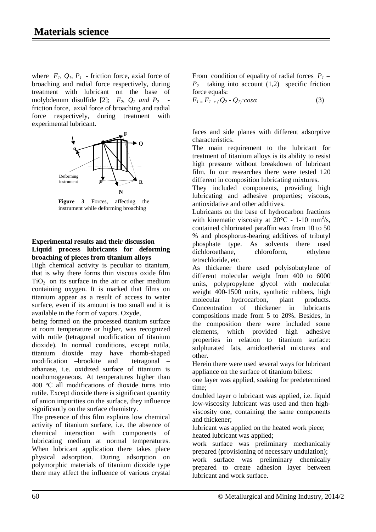where  $F_1$ ,  $Q_1$ ,  $P_1$  - friction force, axial force of broaching and radial force respectively, during treatment with lubricant on the base of molybdenum disulfide [2];  $F_2$ ,  $Q_2$  *and P<sub>2</sub>* friction force, axial force of broaching and radial force respectively, during treatment with experimental lubricant.



**Figure 3** Forces, affecting the instrument while deforming broaching

### **Experimental results and their discussion Liquid process lubricants for deforming broaching of pieces from titanium alloys**

High chemical activity is peculiar to titanium, that is why there forms thin viscous oxide film  $TiO<sub>2</sub>$  on its surface in the air or other medium containing oxygen. It is marked that films on titanium appear as a result of access to water surface, even if its amount is too small and it is available in the form of vapors. Oxyde,

being formed on the processed titanium surface at room temperature or higher, was recognized with rutile (tetragonal modification of titanium dioxide). In normal conditions, except rutila, titanium dioxide may have rhomb-shaped modification –brookite and tetragonal – athanase, i.e. oxidized surface of titanium is nonhomogeneous. At temperatures higher than 400 ºС all modifications of dioxide turns into rutile. Except dioxide there is significant quantity of anion impurities on the surface, they influence significantly on the surface chemistry.

The presence of this film explains low chemical activity of titanium surface, i.e. the absence of chemical interaction with components of lubricating medium at normal temperatures. When lubricant application there takes place physical adsorption. During adsorption on polymorphic materials of titanium dioxide type there may affect the influence of various crystal

From condition of equality of radial forces  $P_1 =$ *Р2* taking into account (1,2) specific friction force equals:

 $F_{1} = F_{1} + (Q_{2} - Q_{1}) \cos \alpha$  (3)

faces and side planes with different adsorptive characteristics.

The main requirement to the lubricant for treatment of titanium alloys is its ability to resist high pressure without breakdown of lubricant film. In our researches there were tested 120 different in composition lubricating mixtures.

They included components, providing high lubricating and adhesive properties; viscous, antioxidative and other additives.

Lubricants on the base of hydrocarbon fractions with kinematic viscosity at  $20^{\circ}$ C - 1-10 mm<sup>2</sup>/s, contained chlorinated paraffin wax from 10 to 50 % and phosphorus-bearing additives of tributyl phosphate type. As solvents there used dichloroethane, chloroform, ethylene tetrachloride, etc.

As thickener there used polyisobutylene of different molecular weight from 400 to 6000 units, polypropylene glycol with molecular weight 400-1500 units, synthetic rubbers, high molecular hydrocarbon, plant products. Concentration of thickener in lubricants compositions made from 5 to 20%. Besides, in the composition there were included some elements, which provided high adhesive properties in relation to titanium surface: sulphurated fats, amidoetherial mixtures and other.

Herein there were used several ways for lubricant appliance on the surface of titanium billets:

one layer was applied, soaking for predetermined time;

doubled layer o lubricant was applied, i.e. liquid low-viscosity lubricant was used and then highviscosity one, containing the same components and thickener;

lubricant was applied on the heated work piece; heated lubricant was applied;

work surface was preliminary mechanically prepared (provisioning of necessary undulation); work surface was preliminary chemically prepared to create adhesion layer between lubricant and work surface.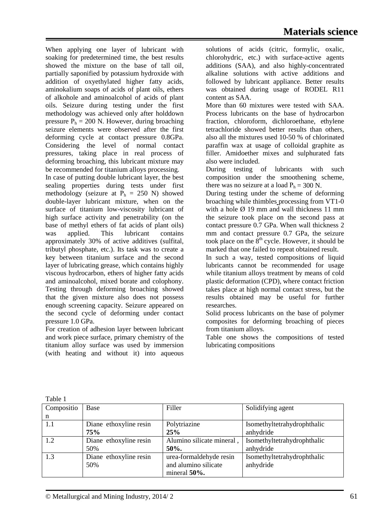When applying one layer of lubricant with soaking for predetermined time, the best results showed the mixture on the base of tall oil, partially saponified by potassium hydroxide with addition of oxyethylated higher fatty acids, aminokalium soaps of acids of plant oils, ethers of alkohole and aminoalcohol of acids of plant oils. Seizure during testing under the first methodology was achieved only after holddown pressure  $P_h = 200$  N. However, during broaching seizure elements were observed after the first deforming cycle at contact pressure 0.8GPa. Considering the level of normal contact pressures, taking place in real process of deforming broaching, this lubricant mixture may be recommended for titanium alloys processing. In case of putting double lubricant layer, the best sealing properties during tests under first methodology (seizure at  $P_h = 250$  N) showed double-layer lubricant mixture, when on the surface of titanium low-viscosity lubricant of high surface activity and penetrability (on the base of methyl ethers of fat acids of plant oils) was applied. This lubricant contains approximately 30% of active additives (sulfital, tributyl phosphate, etc.). Its task was to create a key between titanium surface and the second layer of lubricating grease, which contains highly viscous hydrocarbon, ethers of higher fatty acids and aminoalcohol, mixed borate and colophony.

Testing through deforming broaching showed that the given mixture also does not possess enough screening capacity. Seizure appeared on the second cycle of deforming under contact pressure 1.0 GPa.

For creation of adhesion layer between lubricant and work piece surface, primary chemistry of the titanium alloy surface was used by immersion (with heating and without it) into aqueous

solutions of acids (citric, formylic, oxalic, chlorohydric, etc.) with surface-active agents additions (SAA), and also highly-concentrated alkaline solutions with active additions and followed by lubricant appliance. Better results was obtained during usage of RODEL R11 content as SAA.

More than 60 mixtures were tested with SAA. Process lubricants on the base of hydrocarbon fraction, chloroform, dichloroethane, ethylene tetrachloride showed better results than others, also all the mixtures used 10-50 % of chlorinated paraffin wax at usage of colloidal graphite as filler. Amidoether mixes and sulphurated fats also were included.

During testing of lubricants with such composition under the smoothening scheme, there was no seizure at a load  $P_h = 300$  N.

During testing under the scheme of deforming broaching while thimbles processing from VT1-0 with a hole  $\varnothing$  19 mm and wall thickness 11 mm the seizure took place on the second pass at contact pressure 0.7 GPa. When wall thickness 2 mm and contact pressure 0.7 GPa, the seizure took place on the  $8<sup>th</sup>$  cycle. However, it should be marked that one failed to repeat obtained result.

In such a way, tested compositions of liquid lubricants cannot be recommended for usage while titanium alloys treatment by means of cold plastic deformation (CPD), where contact friction takes place at high normal contact stress, but the results obtained may be useful for further researches.

Solid process lubricants on the base of polymer composites for deforming broaching of pieces from titanium alloys.

Table one shows the compositions of tested lubricating compositions

| 1 ave 1    |                        |                           |                             |  |
|------------|------------------------|---------------------------|-----------------------------|--|
| Compositio | Base                   | Filler                    | Solidifying agent           |  |
| n          |                        |                           |                             |  |
| -1.1       | Diane ethoxyline resin | Polytriazine              | Isomethyltetrahydrophthalic |  |
|            | 75%                    | 25%                       | anhydride                   |  |
| 1.2        | Diane ethoxyline resin | Alumino silicate mineral, | Isomethyltetrahydrophthalic |  |
|            | 50%                    | 50%.                      | anhydride                   |  |
| 1.3        | Diane ethoxyline resin | urea-formaldehyde resin   | Isomethyltetrahydrophthalic |  |
|            | 50%                    | and alumino silicate      | anhydride                   |  |
|            |                        | mineral $50\%$ .          |                             |  |

Table 1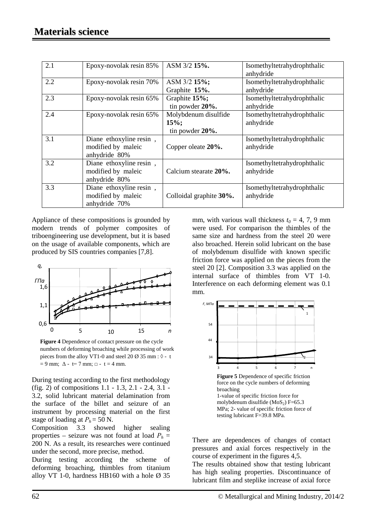| 2.1 | Epoxy-novolak resin 85%                                        | ASM 3/2 15%.                                       | Isomethyltetrahydrophthalic<br>anhydride |
|-----|----------------------------------------------------------------|----------------------------------------------------|------------------------------------------|
| 2.2 | Epoxy-novolak resin 70%                                        | ASM 3/2 15%;<br>Graphite 15%.                      | Isomethyltetrahydrophthalic<br>anhydride |
| 2.3 | Epoxy-novolak resin 65%                                        | Graphite 15%;<br>tin powder 20%.                   | Isomethyltetrahydrophthalic<br>anhydride |
| 2.4 | Epoxy-novolak resin 65%                                        | Molybdenum disulfide<br>$15\%;$<br>tin powder 20%. | Isomethyltetrahydrophthalic<br>anhydride |
| 3.1 | Diane ethoxyline resin,<br>modified by maleic<br>anhydride 80% | Copper oleate 20%.                                 | Isomethyltetrahydrophthalic<br>anhydride |
| 3.2 | Diane ethoxyline resin,<br>modified by maleic<br>anhydride 80% | Calcium stearate 20%.                              | Isomethyltetrahydrophthalic<br>anhydride |
| 3.3 | Diane ethoxyline resin,<br>modified by maleic<br>anhydride 70% | Colloidal graphite 30%.                            | Isomethyltetrahydrophthalic<br>anhydride |

Appliance of these compositions is grounded by modern trends of polymer composites of triboengineering use development, but it is based on the usage of available components, which are produced by SIS countries companies [7,8].



**Figure 4** Dependence of contact pressure on the cycle numbers of deforming broaching while processing of work pieces from the alloy VT1-0 and steel 20 Ø 35 mm :  $\lozenge$  - t  $= 9$  mm;  $\Delta - t = 7$  mm;  $\Box - t = 4$  mm.

During testing according to the first methodology (fig. 2) of compositions 1.1 - 1.3, 2.1 - 2.4, 3.1 - 3.2, solid lubricant material delamination from the surface of the billet and seizure of an instrument by processing material on the first stage of loading at  $P_h$  = 50 N.

Composition 3.3 showed higher sealing properties – seizure was not found at load  $P_h$  = 200 N. As a result, its researches were continued under the second, more precise, method.

During testing according the scheme of deforming broaching, thimbles from titanium alloy VT 1-0, hardness HB160 with a hole  $\varnothing$  35

mm, with various wall thickness  $t_0 = 4, 7, 9$  mm were used. For comparison the thimbles of the same size and hardness from the steel 20 were also broached. Herein solid lubricant on the base of molybdenum disulfide with known specific friction force was applied on the pieces from the steel 20 [2]. Composition 3.3 was applied on the internal surface of thimbles from VT 1-0. Interference on each deforming element was 0.1 mm.



There are dependences of changes of contact pressures and axial forces respectively in the course of experiment in the figures 4,5.

The results obtained show that testing lubricant has high sealing properties. Discontinuance of lubricant film and steplike increase of axial force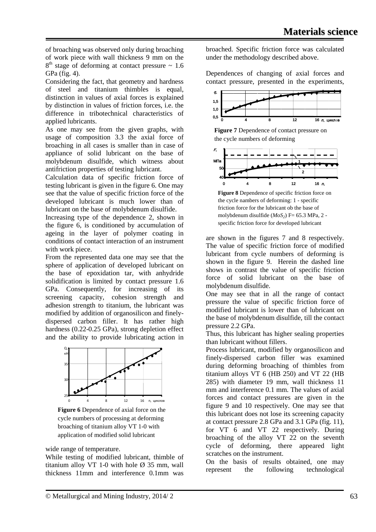of broaching was observed only during broaching of work piece with wall thickness 9 mm on the  $8<sup>th</sup>$  stage of deforming at contact pressure  $\sim 1.6$ GPa (fig. 4).

Considering the fact, that geometry and hardness of steel and titanium thimbles is equal, distinction in values of axial forces is explained by distinction in values of friction forces, i.e. the difference in tribotechnical characteristics of applied lubricants.

As one may see from the given graphs, with usage of composition 3.3 the axial force of broaching in all cases is smaller than in case of appliance of solid lubricant on the base of molybdenum disulfide, which witness about antifriction properties of testing lubricant.

Calculation data of specific friction force of testing lubricant is given in the figure 6. One may see that the value of specific friction force of the developed lubricant is much lower than of lubricant on the base of molybdenum disulfide.

Increasing type of the dependence 2, shown in the figure 6, is conditioned by accumulation of ageing in the layer of polymer coating in conditions of contact interaction of an instrument with work piece.

From the represented data one may see that the sphere of application of developed lubricant on the base of epoxidation tar, with anhydride solidification is limited by contact pressure 1.6 GPa. Consequently, for increasing of its screening capacity, cohesion strength and adhesion strength to titanium, the lubricant was modified by addition of organosilicon and finelydispersed carbon filler. It has rather high hardness (0.22-0.25 GPa), strong depletion effect and the ability to provide lubricating action in



**Figure 6** Dependence of axial force on the cycle numbers of processing at deforming broaching of titanium alloy VT 1-0 with application of modified solid lubricant

wide range of temperature.

While testing of modified lubricant, thimble of titanium alloy VT 1-0 with hole  $\varnothing$  35 mm, wall thickness 11mm and interference 0.1mm was broached. Specific friction force was calculated under the methodology described above.

Dependences of changing of axial forces and contact pressure, presented in the experiments,



**Figure 7** Dependence of contact pressure on the cycle numbers of deforming



**Figure 8** Dependence of specific friction force on the cycle nambers of deforming: 1 - specific friction force for the lubricant ob the base of molybdenum disulfide ( $MoS<sub>2</sub>$ ) F= 65.3 MPa, 2 specific friction force for developed lubricant

are shown in the figures 7 and 8 respectively. The value of specific friction force of modified lubricant from cycle numbers of deforming is shown in the figure 9. Herein the dashed line shows in contrast the value of specific friction force of solid lubricant on the base of molybdenum disulfide.

One may see that in all the range of contact pressure the value of specific friction force of modified lubricant is lower than of lubricant on the base of molybdenum disulfide, till the contact pressure 2.2 GPa.

Thus, this lubricant has higher sealing properties than lubricant without fillers.

Process lubricant, modified by organosilicon and finely-dispersed carbon filler was examined during deforming broaching of thimbles from titanium alloys VT 6 (HB 250) and VT 22 (HB 285) with diameter 19 mm, wall thickness 11 mm and interference 0.1 mm. The values of axial forces and contact pressures are given in the figure 9 and 10 respectively. One may see that this lubricant does not lose its screening capacity at contact pressure 2.8 GPa and 3.1 GPa (fig. 11), for VT 6 and VT 22 respectively. During broaching of the alloy VT 22 on the seventh cycle of deforming, there appeared light scratches on the instrument.

On the basis of results obtained, one may represent the following technological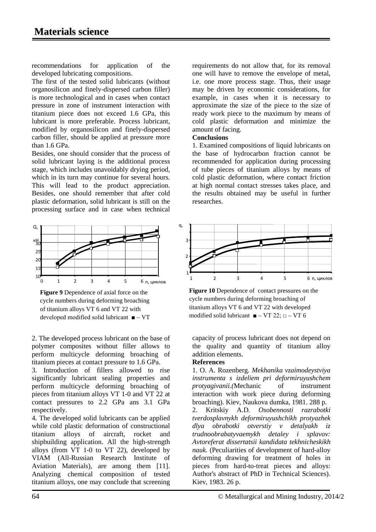recommendations for application of the developed lubricating compositions.

The first of the tested solid lubricants (without organosilicon and finely-dispersed carbon filler) is more technological and in cases when contact pressure in zone of instrument interaction with titanium piece does not exceed 1.6 GPa, this lubricant is more preferable. Process lubricant, modified by organosilicon and finely-dispersed carbon filler, should be applied at pressure more than 1.6 GPa.

Besides, one should consider that the process of solid lubricant laying is the additional process stage, which includes unavoidably drying period, which in its turn may continue for several hours. This will lead to the product appreciation. Besides, one should remember that after cold plastic deformation, solid lubricant is still on the processing surface and in case when technical



**Figure 9** Dependence of axial force on the cycle numbers during deforming broaching of titanium alloys VT 6 and VT 22 with developed modified solid lubricant ■ – VT

2. The developed process lubricant on the base of polymer composites without filler allows to perform multicycle deforming broaching of titanium pieces at contact pressure to 1.6 GPa.

3. Introduction of fillers allowed to rise significantly lubricant sealing properties and perform multicycle deforming broaching of pieces from titanium alloys VT 1-0 and VT 22 at contact pressures to 2.2 GPa ans 3.1 GPa respectively.

4. The developed solid lubricants can be applied while cold plastic deformation of constructional titanium alloys of aircraft, rocket and shipbuilding application. All the high-strength alloys (from VT 1-0 to VT 22), developed by VIAM (All-Russian Research Institute of Aviation Materials), are among them [11]. Analyzing chemical composition of tested titanium alloys, one may conclude that screening

requirements do not allow that, for its removal one will have to remove the envelope of metal, i.e. one more process stage. Thus, their usage may be driven by economic considerations, for example, in cases when it is necessary to approximate the size of the piece to the size of ready work piece to the maximum by means of cold plastic deformation and minimize the amount of facing.

#### **Conclusions**

1. Examined compositions of liquid lubricants on the base of hydrocarbon fraction cannot be recommended for application during processing of tube pieces of titanium alloys by means of cold plastic deformation, where contact friction at high normal contact stresses takes place, and the results obtained may be useful in further researches.



**Figure 10** Dependence of contact pressures on the cycle numbers during deforming broaching of titanium alloys VT 6 and VT 22 with developed modified solid lubricant  $\blacksquare - \text{VT } 22$ ;  $\Box - \text{VT } 6$ 

capacity of process lubricant does not depend on the quality and quantity of titanium alloy addition elements.

## **References**

1. O. A. Rozenberg. *Mekhanika vzaimodeystviya instrumenta s izdeliem pri deformiruyushchem protyagivanii.(*Mechanic of instrument interaction with work piece during deforming broaching). Kiev, Naukova dumka, 1981. 288 p. 2. Kritskiy A.D*. Osobennosti razrabotki tverdosplavnykh deformiruyushchikh protyazhek dlya obrabotki otverstiy v detalyakh iz trudnoobrabatyvaemykh detaley i splavov: Avtoreferat dissertatsii kandidata tekhnicheskikh nauk.* (Peculiarities of development of hard-alloy deforming drawing for treatment of holes in pieces from hard-to-treat pieces and alloys: Author's abstract of PhD in Technical Sciences). Kiev, 1983. 26 p.